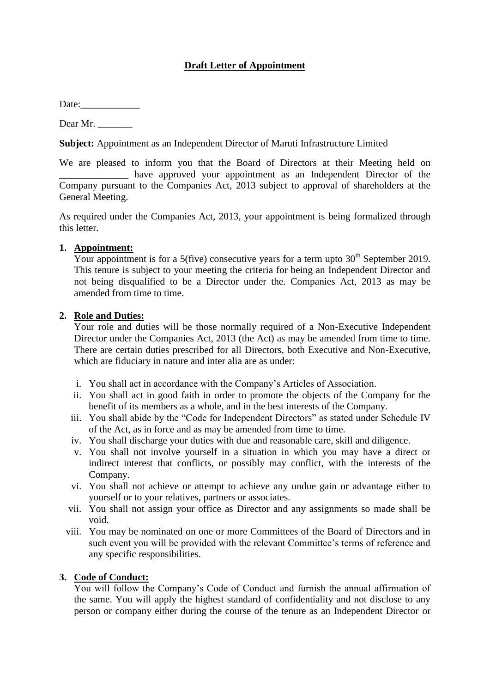# **Draft Letter of Appointment**

Date:

Dear Mr.

**Subject:** Appointment as an Independent Director of Maruti Infrastructure Limited

We are pleased to inform you that the Board of Directors at their Meeting held on \_\_\_\_\_\_\_\_\_\_\_\_\_\_ have approved your appointment as an Independent Director of the Company pursuant to the Companies Act, 2013 subject to approval of shareholders at the General Meeting.

As required under the Companies Act, 2013, your appointment is being formalized through this letter.

## **1. Appointment:**

Your appointment is for a 5(five) consecutive years for a term upto  $30<sup>th</sup>$  September 2019. This tenure is subject to your meeting the criteria for being an Independent Director and not being disqualified to be a Director under the. Companies Act, 2013 as may be amended from time to time.

## **2. Role and Duties:**

Your role and duties will be those normally required of a Non-Executive Independent Director under the Companies Act, 2013 (the Act) as may be amended from time to time. There are certain duties prescribed for all Directors, both Executive and Non-Executive, which are fiduciary in nature and inter alia are as under:

- i. You shall act in accordance with the Company's Articles of Association.
- ii. You shall act in good faith in order to promote the objects of the Company for the benefit of its members as a whole, and in the best interests of the Company.
- iii. You shall abide by the "Code for Independent Directors" as stated under Schedule IV of the Act, as in force and as may be amended from time to time.
- iv. You shall discharge your duties with due and reasonable care, skill and diligence.
- v. You shall not involve yourself in a situation in which you may have a direct or indirect interest that conflicts, or possibly may conflict, with the interests of the Company.
- vi. You shall not achieve or attempt to achieve any undue gain or advantage either to yourself or to your relatives, partners or associates.
- vii. You shall not assign your office as Director and any assignments so made shall be void.
- viii. You may be nominated on one or more Committees of the Board of Directors and in such event you will be provided with the relevant Committee's terms of reference and any specific responsibilities.

## **3. Code of Conduct:**

You will follow the Company's Code of Conduct and furnish the annual affirmation of the same. You will apply the highest standard of confidentiality and not disclose to any person or company either during the course of the tenure as an Independent Director or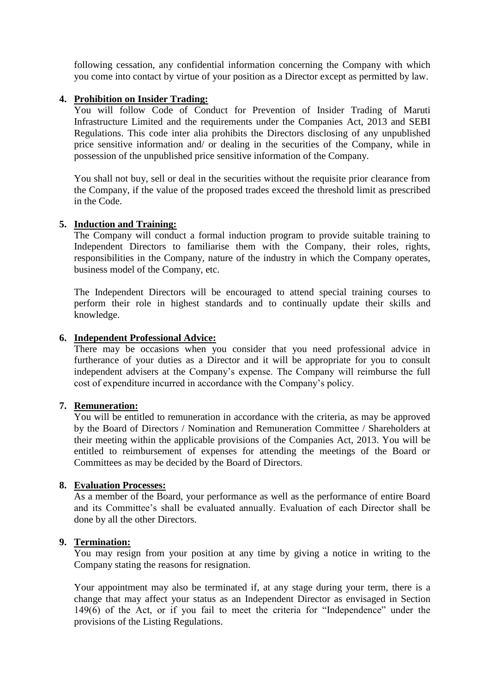following cessation, any confidential information concerning the Company with which you come into contact by virtue of your position as a Director except as permitted by law.

#### **4. Prohibition on Insider Trading:**

You will follow Code of Conduct for Prevention of Insider Trading of Maruti Infrastructure Limited and the requirements under the Companies Act, 2013 and SEBI Regulations. This code inter alia prohibits the Directors disclosing of any unpublished price sensitive information and/ or dealing in the securities of the Company, while in possession of the unpublished price sensitive information of the Company.

You shall not buy, sell or deal in the securities without the requisite prior clearance from the Company, if the value of the proposed trades exceed the threshold limit as prescribed in the Code.

#### **5. Induction and Training:**

The Company will conduct a formal induction program to provide suitable training to Independent Directors to familiarise them with the Company, their roles, rights, responsibilities in the Company, nature of the industry in which the Company operates, business model of the Company, etc.

The Independent Directors will be encouraged to attend special training courses to perform their role in highest standards and to continually update their skills and knowledge.

#### **6. Independent Professional Advice:**

There may be occasions when you consider that you need professional advice in furtherance of your duties as a Director and it will be appropriate for you to consult independent advisers at the Company's expense. The Company will reimburse the full cost of expenditure incurred in accordance with the Company's policy.

#### **7. Remuneration:**

You will be entitled to remuneration in accordance with the criteria, as may be approved by the Board of Directors / Nomination and Remuneration Committee / Shareholders at their meeting within the applicable provisions of the Companies Act, 2013. You will be entitled to reimbursement of expenses for attending the meetings of the Board or Committees as may be decided by the Board of Directors.

#### **8. Evaluation Processes:**

As a member of the Board, your performance as well as the performance of entire Board and its Committee's shall be evaluated annually. Evaluation of each Director shall be done by all the other Directors.

#### **9. Termination:**

You may resign from your position at any time by giving a notice in writing to the Company stating the reasons for resignation.

Your appointment may also be terminated if, at any stage during your term, there is a change that may affect your status as an Independent Director as envisaged in Section 149(6) of the Act, or if you fail to meet the criteria for "Independence" under the provisions of the Listing Regulations.